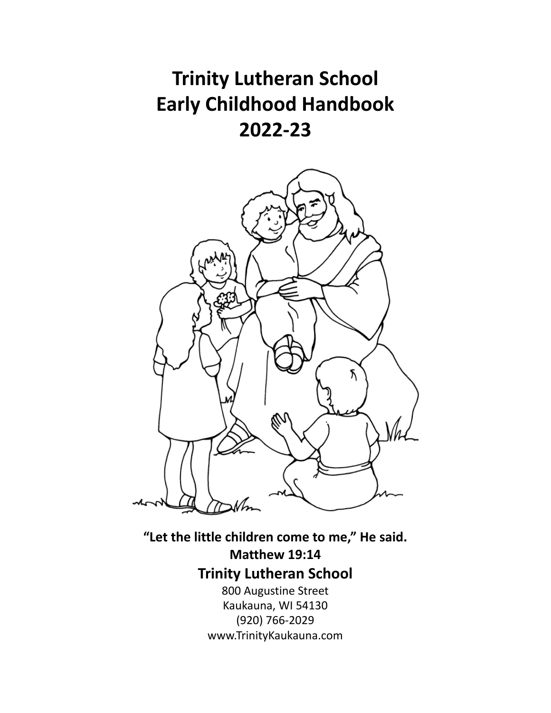# **Trinity Lutheran School Early Childhood Handbook 2022-23**



**"Let the little children come to me, " He said. Matthew 19:14 Trinity Lutheran School** 800 Augustine Street Kaukauna, WI 54130 (920) 766-2029 www.TrinityKaukauna.com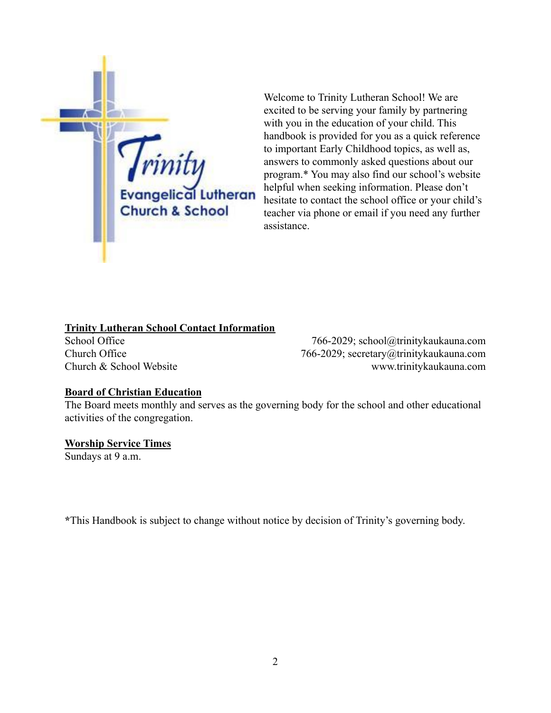

Welcome to Trinity Lutheran School! We are excited to be serving your family by partnering with you in the education of your child. This handbook is provided for you as a quick reference to important Early Childhood topics, as well as, answers to commonly asked questions about our program.\* You may also find our school's website helpful when seeking information. Please don't hesitate to contact the school office or your child's teacher via phone or email if you need any further assistance.

#### **Trinity Lutheran School Contact Information**

School Office 766-2029; [school@trinitykaukauna.com](mailto:school@trinitykaukauna.com) Church Office 766-2029; [secretary@trinitykaukauna.com](mailto:secretary@trinitykaukauna.com) Church & School Website [www.trinitykaukauna.com](http://www.trinitykaukauna.com)

#### **Board of Christian Education**

The Board meets monthly and serves as the governing body for the school and other educational activities of the congregation.

#### **Worship Service Times**

Sundays at 9 a.m.

**\***This Handbook is subject to change without notice by decision of Trinity's governing body.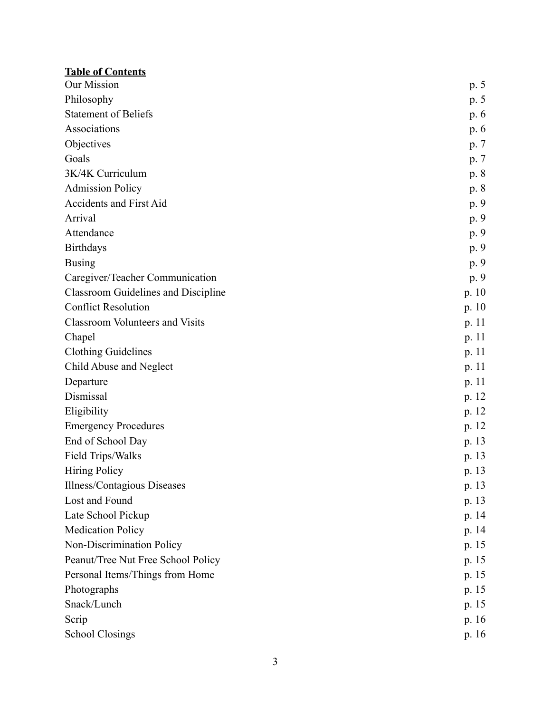| <b>Table of Contents</b>                   |         |
|--------------------------------------------|---------|
| Our Mission                                | p. 5    |
| Philosophy                                 | p. 5    |
| <b>Statement of Beliefs</b>                | p.6     |
| Associations                               | p. 6    |
| Objectives                                 | p. 7    |
| Goals                                      | p. 7    |
| 3K/4K Curriculum                           | p. 8    |
| <b>Admission Policy</b>                    | p. 8    |
| Accidents and First Aid                    | p. 9    |
| Arrival                                    | p. 9    |
| Attendance                                 | p. 9    |
| <b>Birthdays</b>                           | p. 9    |
| <b>Busing</b>                              | p. 9    |
| Caregiver/Teacher Communication            | p. 9    |
| <b>Classroom Guidelines and Discipline</b> | p. 10   |
| <b>Conflict Resolution</b>                 | p. $10$ |
| <b>Classroom Volunteers and Visits</b>     | p.11    |
| Chapel                                     | p. 11   |
| <b>Clothing Guidelines</b>                 | p. 11   |
| Child Abuse and Neglect                    | p. $11$ |
| Departure                                  | p.11    |
| Dismissal                                  | p. 12   |
| Eligibility                                | p. 12   |
| <b>Emergency Procedures</b>                | p. 12   |
| End of School Day                          | p. 13   |
| Field Trips/Walks                          | p. 13   |
| <b>Hiring Policy</b>                       | p. 13   |
| Illness/Contagious Diseases                | p. 13   |
| Lost and Found                             | p. 13   |
| Late School Pickup                         | p. 14   |
| <b>Medication Policy</b>                   | p. 14   |
| Non-Discrimination Policy                  | p. 15   |
| Peanut/Tree Nut Free School Policy         | p. 15   |
| Personal Items/Things from Home            | p. 15   |
| Photographs                                | p. 15   |
| Snack/Lunch                                | p. 15   |
| Scrip                                      | p. 16   |
| <b>School Closings</b>                     | p. 16   |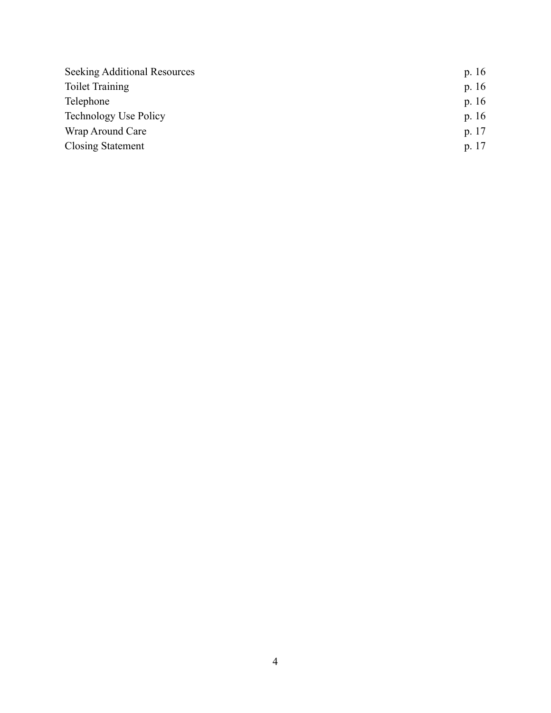| <b>Seeking Additional Resources</b> | p. $16$ |
|-------------------------------------|---------|
| <b>Toilet Training</b>              | p. $16$ |
| Telephone                           | p. $16$ |
| <b>Technology Use Policy</b>        | p. $16$ |
| Wrap Around Care                    | p. 17   |
| <b>Closing Statement</b>            | p. 17   |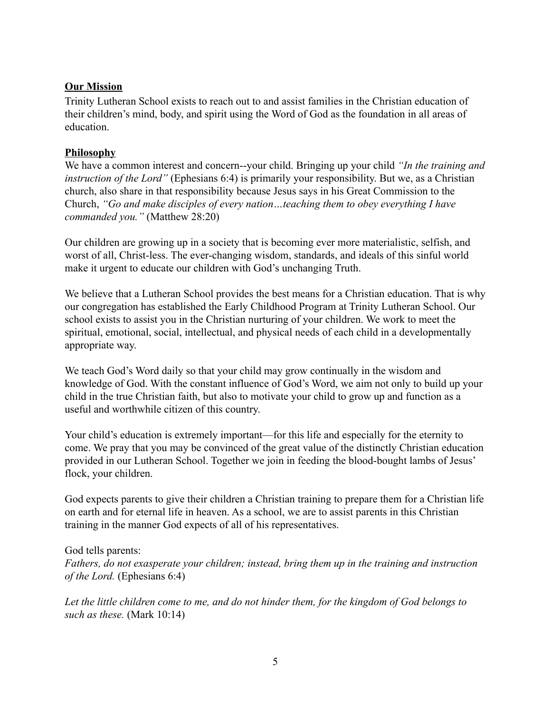# **Our Mission**

Trinity Lutheran School exists to reach out to and assist families in the Christian education of their children's mind, body, and spirit using the Word of God as the foundation in all areas of education.

# **Philosophy**

We have a common interest and concern--your child. Bringing up your child *"In the training and instruction of the Lord"* (Ephesians 6:4) is primarily your responsibility. But we, as a Christian church, also share in that responsibility because Jesus says in his Great Commission to the Church, *"Go and make disciples of every nation…teaching them to obey everything I have commanded you."* (Matthew 28:20)

Our children are growing up in a society that is becoming ever more materialistic, selfish, and worst of all, Christ-less. The ever-changing wisdom, standards, and ideals of this sinful world make it urgent to educate our children with God's unchanging Truth.

We believe that a Lutheran School provides the best means for a Christian education. That is why our congregation has established the Early Childhood Program at Trinity Lutheran School. Our school exists to assist you in the Christian nurturing of your children. We work to meet the spiritual, emotional, social, intellectual, and physical needs of each child in a developmentally appropriate way.

We teach God's Word daily so that your child may grow continually in the wisdom and knowledge of God. With the constant influence of God's Word, we aim not only to build up your child in the true Christian faith, but also to motivate your child to grow up and function as a useful and worthwhile citizen of this country.

Your child's education is extremely important—for this life and especially for the eternity to come. We pray that you may be convinced of the great value of the distinctly Christian education provided in our Lutheran School. Together we join in feeding the blood-bought lambs of Jesus' flock, your children.

God expects parents to give their children a Christian training to prepare them for a Christian life on earth and for eternal life in heaven. As a school, we are to assist parents in this Christian training in the manner God expects of all of his representatives.

God tells parents:

*Fathers, do not exasperate your children; instead, bring them up in the training and instruction of the Lord.* (Ephesians 6:4)

*Let the little children come to me, and do not hinder them, for the kingdom of God belongs to such as these.* (Mark 10:14)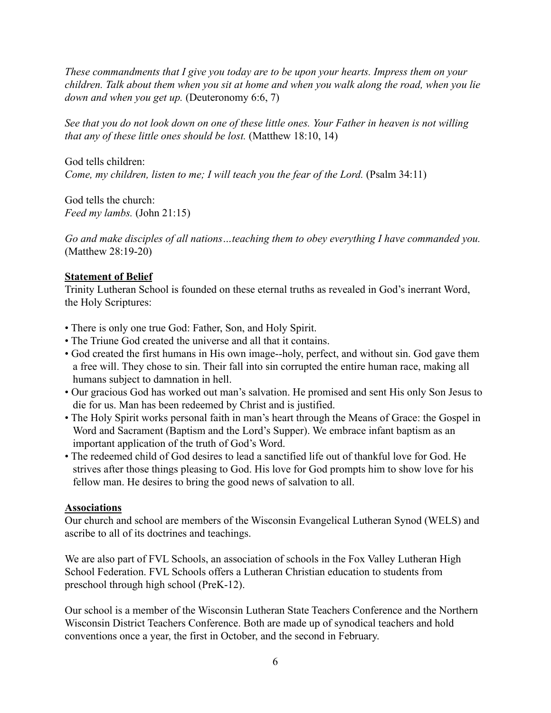*These commandments that I give you today are to be upon your hearts. Impress them on your children. Talk about them when you sit at home and when you walk along the road, when you lie down and when you get up.* (Deuteronomy 6:6, 7)

*See that you do not look down on one of these little ones. Your Father in heaven is not willing that any of these little ones should be lost.* (Matthew 18:10, 14)

God tells children: *Come, my children, listen to me; I will teach you the fear of the Lord.* (Psalm 34:11)

God tells the church: *Feed my lambs.* (John 21:15)

*Go and make disciples of all nations…teaching them to obey everything I have commanded you.* (Matthew 28:19-20)

# **Statement of Belief**

Trinity Lutheran School is founded on these eternal truths as revealed in God's inerrant Word, the Holy Scriptures:

- There is only one true God: Father, Son, and Holy Spirit.
- The Triune God created the universe and all that it contains.
- God created the first humans in His own image--holy, perfect, and without sin. God gave them a free will. They chose to sin. Their fall into sin corrupted the entire human race, making all humans subject to damnation in hell.
- Our gracious God has worked out man's salvation. He promised and sent His only Son Jesus to die for us. Man has been redeemed by Christ and is justified.
- The Holy Spirit works personal faith in man's heart through the Means of Grace: the Gospel in Word and Sacrament (Baptism and the Lord's Supper). We embrace infant baptism as an important application of the truth of God's Word.
- The redeemed child of God desires to lead a sanctified life out of thankful love for God. He strives after those things pleasing to God. His love for God prompts him to show love for his fellow man. He desires to bring the good news of salvation to all.

# **Associations**

Our church and school are members of the Wisconsin Evangelical Lutheran Synod (WELS) and ascribe to all of its doctrines and teachings.

We are also part of FVL Schools, an association of schools in the Fox Valley Lutheran High School Federation. FVL Schools offers a Lutheran Christian education to students from preschool through high school (PreK-12).

Our school is a member of the Wisconsin Lutheran State Teachers Conference and the Northern Wisconsin District Teachers Conference. Both are made up of synodical teachers and hold conventions once a year, the first in October, and the second in February.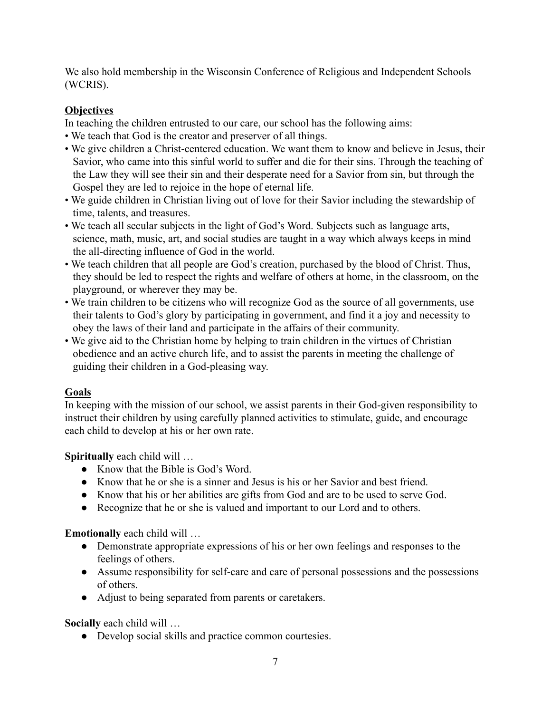We also hold membership in the Wisconsin Conference of Religious and Independent Schools (WCRIS).

# **Objectives**

In teaching the children entrusted to our care, our school has the following aims:

- We teach that God is the creator and preserver of all things.
- We give children a Christ-centered education. We want them to know and believe in Jesus, their Savior, who came into this sinful world to suffer and die for their sins. Through the teaching of the Law they will see their sin and their desperate need for a Savior from sin, but through the Gospel they are led to rejoice in the hope of eternal life.
- We guide children in Christian living out of love for their Savior including the stewardship of time, talents, and treasures.
- We teach all secular subjects in the light of God's Word. Subjects such as language arts, science, math, music, art, and social studies are taught in a way which always keeps in mind the all-directing influence of God in the world.
- We teach children that all people are God's creation, purchased by the blood of Christ. Thus, they should be led to respect the rights and welfare of others at home, in the classroom, on the playground, or wherever they may be.
- We train children to be citizens who will recognize God as the source of all governments, use their talents to God's glory by participating in government, and find it a joy and necessity to obey the laws of their land and participate in the affairs of their community.
- We give aid to the Christian home by helping to train children in the virtues of Christian obedience and an active church life, and to assist the parents in meeting the challenge of guiding their children in a God-pleasing way.

# **Goals**

In keeping with the mission of our school, we assist parents in their God-given responsibility to instruct their children by using carefully planned activities to stimulate, guide, and encourage each child to develop at his or her own rate.

**Spiritually** each child will …

- Know that the Bible is God's Word.
- Know that he or she is a sinner and Jesus is his or her Savior and best friend.
- Know that his or her abilities are gifts from God and are to be used to serve God.
- Recognize that he or she is valued and important to our Lord and to others.

**Emotionally** each child will …

- Demonstrate appropriate expressions of his or her own feelings and responses to the feelings of others.
- Assume responsibility for self-care and care of personal possessions and the possessions of others.
- Adjust to being separated from parents or caretakers.

**Socially** each child will …

● Develop social skills and practice common courtesies.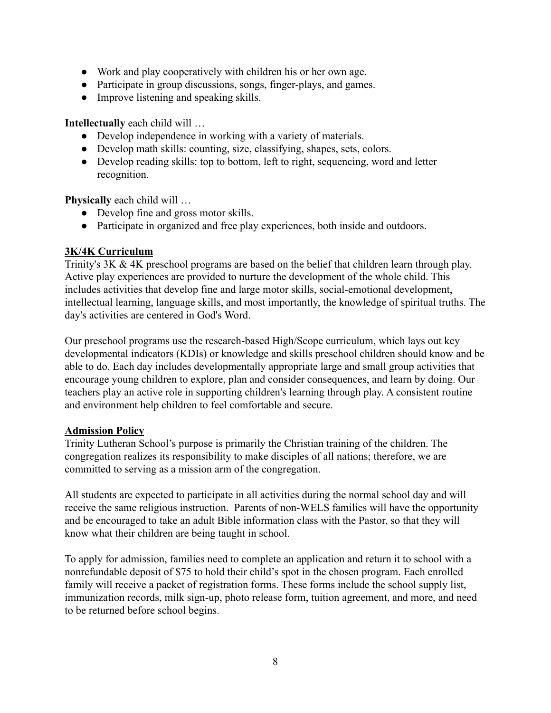- Work and play cooperatively with children his or her own age.
- Participate in group discussions, songs, finger-plays, and games.
- Improve listening and speaking skills.

**Intellectually** each child will …

- Develop independence in working with a variety of materials.
- Develop math skills: counting, size, classifying, shapes, sets, colors.
- Develop reading skills: top to bottom, left to right, sequencing, word and letter recognition.

**Physically** each child will …

- Develop fine and gross motor skills.
- Participate in organized and free play experiences, both inside and outdoors.

#### **3K/4K Curriculum**

Trinity's 3K & 4K preschool programs are based on the belief that children learn through play. Active play experiences are provided to nurture the development of the whole child. This includes activities that develop fine and large motor skills, social-emotional development, intellectual learning, language skills, and most importantly, the knowledge of spiritual truths. The day's activities are centered in God's Word.

Our preschool programs use the research-based [High/Scope](http://highscope.org/Content.asp?ContentId=171) curriculum, which lays out key developmental indicators (KDIs) or knowledge and skills preschool children should know and be able to do. Each day includes developmentally appropriate large and small group activities that encourage young children to explore, plan and consider consequences, and learn by doing. Our teachers play an active role in supporting children's learning through play. A consistent routine and environment help children to feel comfortable and secure.

#### **Admission Policy**

Trinity Lutheran School's purpose is primarily the Christian training of the children. The congregation realizes its responsibility to make disciples of all nations; therefore, we are committed to serving as a mission arm of the congregation.

All students are expected to participate in all activities during the normal school day and will receive the same religious instruction. Parents of non-WELS families will have the opportunity and be encouraged to take an adult Bible information class with the Pastor, so that they will know what their children are being taught in school.

To apply for admission, families need to complete an application and return it to school with a nonrefundable deposit of \$75 to hold their child's spot in the chosen program. Each enrolled family will receive a packet of registration forms. These forms include the school supply list, immunization records, milk sign-up, photo release form, tuition agreement, and more, and need to be returned before school begins.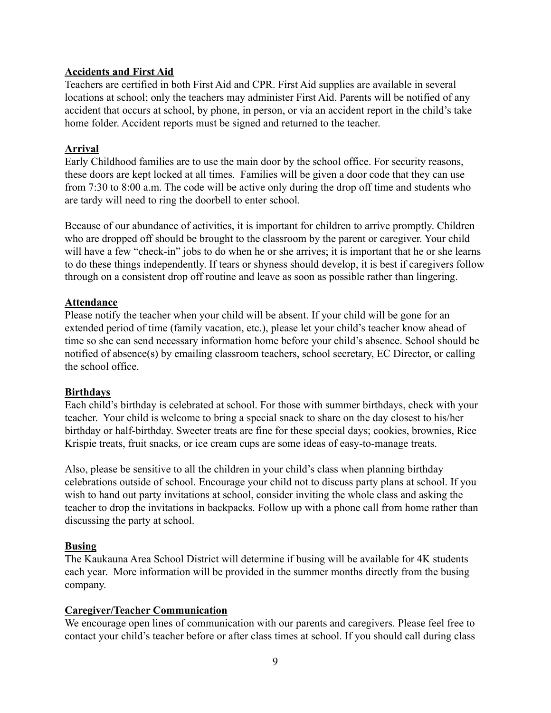# **Accidents and First Aid**

Teachers are certified in both First Aid and CPR. First Aid supplies are available in several locations at school; only the teachers may administer First Aid. Parents will be notified of any accident that occurs at school, by phone, in person, or via an accident report in the child's take home folder. Accident reports must be signed and returned to the teacher.

#### **Arrival**

Early Childhood families are to use the main door by the school office. For security reasons, these doors are kept locked at all times. Families will be given a door code that they can use from 7:30 to 8:00 a.m. The code will be active only during the drop off time and students who are tardy will need to ring the doorbell to enter school.

Because of our abundance of activities, it is important for children to arrive promptly. Children who are dropped off should be brought to the classroom by the parent or caregiver. Your child will have a few "check-in" jobs to do when he or she arrives; it is important that he or she learns to do these things independently. If tears or shyness should develop, it is best if caregivers follow through on a consistent drop off routine and leave as soon as possible rather than lingering.

#### **Attendance**

Please notify the teacher when your child will be absent. If your child will be gone for an extended period of time (family vacation, etc.), please let your child's teacher know ahead of time so she can send necessary information home before your child's absence. School should be notified of absence(s) by emailing classroom teachers, school secretary, EC Director, or calling the school office.

#### **Birthdays**

Each child's birthday is celebrated at school. For those with summer birthdays, check with your teacher. Your child is welcome to bring a special snack to share on the day closest to his/her birthday or half-birthday. Sweeter treats are fine for these special days; cookies, brownies, Rice Krispie treats, fruit snacks, or ice cream cups are some ideas of easy-to-manage treats.

Also, please be sensitive to all the children in your child's class when planning birthday celebrations outside of school. Encourage your child not to discuss party plans at school. If you wish to hand out party invitations at school, consider inviting the whole class and asking the teacher to drop the invitations in backpacks. Follow up with a phone call from home rather than discussing the party at school.

# **Busing**

The Kaukauna Area School District will determine if busing will be available for 4K students each year. More information will be provided in the summer months directly from the busing company.

# **Caregiver/Teacher Communication**

We encourage open lines of communication with our parents and caregivers. Please feel free to contact your child's teacher before or after class times at school. If you should call during class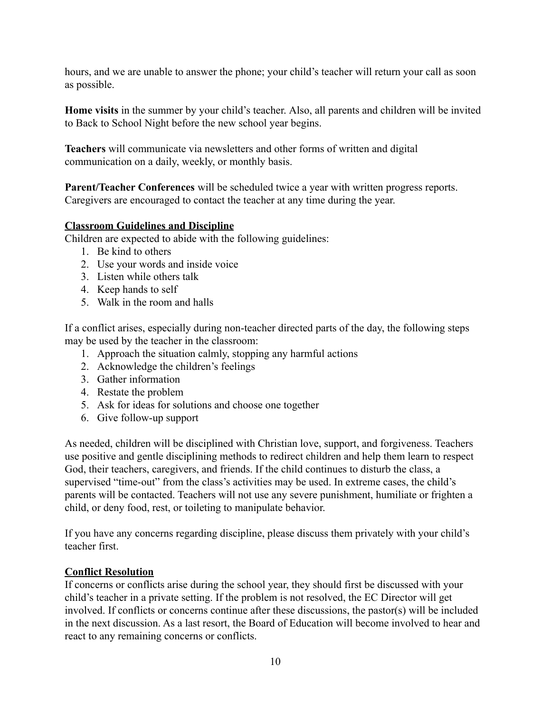hours, and we are unable to answer the phone; your child's teacher will return your call as soon as possible.

**Home visits** in the summer by your child's teacher. Also, all parents and children will be invited to Back to School Night before the new school year begins.

**Teachers** will communicate via newsletters and other forms of written and digital communication on a daily, weekly, or monthly basis.

**Parent/Teacher Conferences** will be scheduled twice a year with written progress reports. Caregivers are encouraged to contact the teacher at any time during the year.

# **Classroom Guidelines and Discipline**

Children are expected to abide with the following guidelines:

- 1. Be kind to others
- 2. Use your words and inside voice
- 3. Listen while others talk
- 4. Keep hands to self
- 5. Walk in the room and halls

If a conflict arises, especially during non-teacher directed parts of the day, the following steps may be used by the teacher in the classroom:

- 1. Approach the situation calmly, stopping any harmful actions
- 2. Acknowledge the children's feelings
- 3. Gather information
- 4. Restate the problem
- 5. Ask for ideas for solutions and choose one together
- 6. Give follow-up support

As needed, children will be disciplined with Christian love, support, and forgiveness. Teachers use positive and gentle disciplining methods to redirect children and help them learn to respect God, their teachers, caregivers, and friends. If the child continues to disturb the class, a supervised "time-out" from the class's activities may be used. In extreme cases, the child's parents will be contacted. Teachers will not use any severe punishment, humiliate or frighten a child, or deny food, rest, or toileting to manipulate behavior.

If you have any concerns regarding discipline, please discuss them privately with your child's teacher first.

# **Conflict Resolution**

If concerns or conflicts arise during the school year, they should first be discussed with your child's teacher in a private setting. If the problem is not resolved, the EC Director will get involved. If conflicts or concerns continue after these discussions, the pastor(s) will be included in the next discussion. As a last resort, the Board of Education will become involved to hear and react to any remaining concerns or conflicts.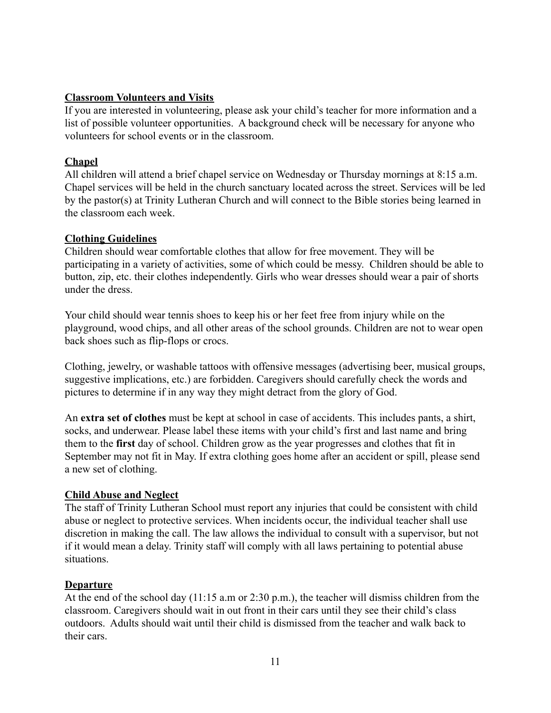## **Classroom Volunteers and Visits**

If you are interested in volunteering, please ask your child's teacher for more information and a list of possible volunteer opportunities. A background check will be necessary for anyone who volunteers for school events or in the classroom.

## **Chapel**

All children will attend a brief chapel service on Wednesday or Thursday mornings at 8:15 a.m. Chapel services will be held in the church sanctuary located across the street. Services will be led by the pastor(s) at Trinity Lutheran Church and will connect to the Bible stories being learned in the classroom each week.

#### **Clothing Guidelines**

Children should wear comfortable clothes that allow for free movement. They will be participating in a variety of activities, some of which could be messy. Children should be able to button, zip, etc. their clothes independently. Girls who wear dresses should wear a pair of shorts under the dress.

Your child should wear tennis shoes to keep his or her feet free from injury while on the playground, wood chips, and all other areas of the school grounds. Children are not to wear open back shoes such as flip-flops or crocs.

Clothing, jewelry, or washable tattoos with offensive messages (advertising beer, musical groups, suggestive implications, etc.) are forbidden. Caregivers should carefully check the words and pictures to determine if in any way they might detract from the glory of God.

An **extra set of clothes** must be kept at school in case of accidents. This includes pants, a shirt, socks, and underwear. Please label these items with your child's first and last name and bring them to the **first** day of school. Children grow as the year progresses and clothes that fit in September may not fit in May. If extra clothing goes home after an accident or spill, please send a new set of clothing.

# **Child Abuse and Neglect**

The staff of Trinity Lutheran School must report any injuries that could be consistent with child abuse or neglect to protective services. When incidents occur, the individual teacher shall use discretion in making the call. The law allows the individual to consult with a supervisor, but not if it would mean a delay. Trinity staff will comply with all laws pertaining to potential abuse situations.

#### **Departure**

At the end of the school day (11:15 a.m or 2:30 p.m.), the teacher will dismiss children from the classroom. Caregivers should wait in out front in their cars until they see their child's class outdoors. Adults should wait until their child is dismissed from the teacher and walk back to their cars.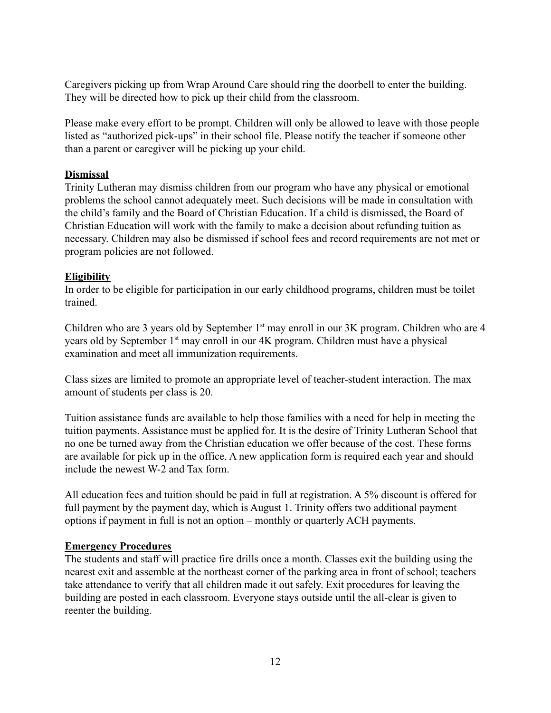Caregivers picking up from Wrap Around Care should ring the doorbell to enter the building. They will be directed how to pick up their child from the classroom.

Please make every effort to be prompt. Children will only be allowed to leave with those people listed as "authorized pick-ups" in their school file. Please notify the teacher if someone other than a parent or caregiver will be picking up your child.

# **Dismissal**

Trinity Lutheran may dismiss children from our program who have any physical or emotional problems the school cannot adequately meet. Such decisions will be made in consultation with the child's family and the Board of Christian Education. If a child is dismissed, the Board of Christian Education will work with the family to make a decision about refunding tuition as necessary. Children may also be dismissed if school fees and record requirements are not met or program policies are not followed.

#### **Eligibility**

In order to be eligible for participation in our early childhood programs, children must be toilet trained.

Children who are 3 years old by September  $1<sup>st</sup>$  may enroll in our 3K program. Children who are 4 years old by September 1<sup>st</sup> may enroll in our 4K program. Children must have a physical examination and meet all immunization requirements.

Class sizes are limited to promote an appropriate level of teacher-student interaction. The max amount of students per class is 20.

Tuition assistance funds are available to help those families with a need for help in meeting the tuition payments. Assistance must be applied for. It is the desire of Trinity Lutheran School that no one be turned away from the Christian education we offer because of the cost. These forms are available for pick up in the office. A new application form is required each year and should include the newest W-2 and Tax form.

All education fees and tuition should be paid in full at registration. A 5% discount is offered for full payment by the payment day, which is August 1. Trinity offers two additional payment options if payment in full is not an option – monthly or quarterly ACH payments.

#### **Emergency Procedures**

The students and staff will practice fire drills once a month. Classes exit the building using the nearest exit and assemble at the northeast corner of the parking area in front of school; teachers take attendance to verify that all children made it out safely. Exit procedures for leaving the building are posted in each classroom. Everyone stays outside until the all-clear is given to reenter the building.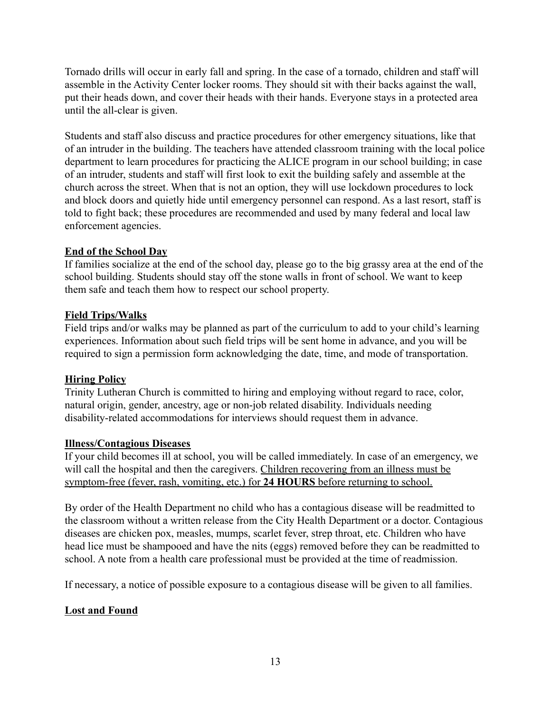Tornado drills will occur in early fall and spring. In the case of a tornado, children and staff will assemble in the Activity Center locker rooms. They should sit with their backs against the wall, put their heads down, and cover their heads with their hands. Everyone stays in a protected area until the all-clear is given.

Students and staff also discuss and practice procedures for other emergency situations, like that of an intruder in the building. The teachers have attended classroom training with the local police department to learn procedures for practicing the ALICE program in our school building; in case of an intruder, students and staff will first look to exit the building safely and assemble at the church across the street. When that is not an option, they will use lockdown procedures to lock and block doors and quietly hide until emergency personnel can respond. As a last resort, staff is told to fight back; these procedures are recommended and used by many federal and local law enforcement agencies.

# **End of the School Day**

If families socialize at the end of the school day, please go to the big grassy area at the end of the school building. Students should stay off the stone walls in front of school. We want to keep them safe and teach them how to respect our school property.

#### **Field Trips/Walks**

Field trips and/or walks may be planned as part of the curriculum to add to your child's learning experiences. Information about such field trips will be sent home in advance, and you will be required to sign a permission form acknowledging the date, time, and mode of transportation.

#### **Hiring Policy**

Trinity Lutheran Church is committed to hiring and employing without regard to race, color, natural origin, gender, ancestry, age or non-job related disability. Individuals needing disability-related accommodations for interviews should request them in advance.

#### **Illness/Contagious Diseases**

If your child becomes ill at school, you will be called immediately. In case of an emergency, we will call the hospital and then the caregivers. Children recovering from an illness must be symptom-free (fever, rash, vomiting, etc.) for **24 HOURS** before returning to school.

By order of the Health Department no child who has a contagious disease will be readmitted to the classroom without a written release from the City Health Department or a doctor. Contagious diseases are chicken pox, measles, mumps, scarlet fever, strep throat, etc. Children who have head lice must be shampooed and have the nits (eggs) removed before they can be readmitted to school. A note from a health care professional must be provided at the time of readmission.

If necessary, a notice of possible exposure to a contagious disease will be given to all families.

# **Lost and Found**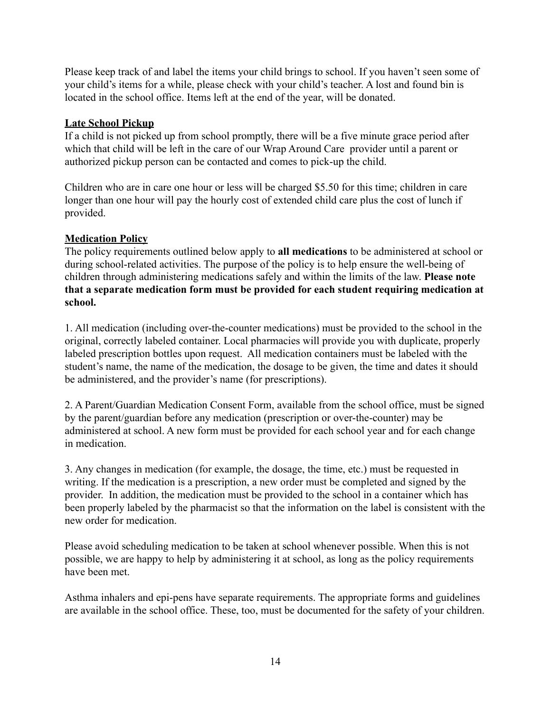Please keep track of and label the items your child brings to school. If you haven't seen some of your child's items for a while, please check with your child's teacher. A lost and found bin is located in the school office. Items left at the end of the year, will be donated.

# **Late School Pickup**

If a child is not picked up from school promptly, there will be a five minute grace period after which that child will be left in the care of our Wrap Around Care provider until a parent or authorized pickup person can be contacted and comes to pick-up the child.

Children who are in care one hour or less will be charged \$5.50 for this time; children in care longer than one hour will pay the hourly cost of extended child care plus the cost of lunch if provided.

# **Medication Policy**

The policy requirements outlined below apply to **all medications** to be administered at school or during school-related activities. The purpose of the policy is to help ensure the well-being of children through administering medications safely and within the limits of the law. **Please note that a separate medication form must be provided for each student requiring medication at school.**

1. All medication (including over-the-counter medications) must be provided to the school in the original, correctly labeled container. Local pharmacies will provide you with duplicate, properly labeled prescription bottles upon request. All medication containers must be labeled with the student's name, the name of the medication, the dosage to be given, the time and dates it should be administered, and the provider's name (for prescriptions).

2. A Parent/Guardian Medication Consent Form, available from the school office, must be signed by the parent/guardian before any medication (prescription or over-the-counter) may be administered at school. A new form must be provided for each school year and for each change in medication.

3. Any changes in medication (for example, the dosage, the time, etc.) must be requested in writing. If the medication is a prescription, a new order must be completed and signed by the provider. In addition, the medication must be provided to the school in a container which has been properly labeled by the pharmacist so that the information on the label is consistent with the new order for medication.

Please avoid scheduling medication to be taken at school whenever possible. When this is not possible, we are happy to help by administering it at school, as long as the policy requirements have been met.

Asthma inhalers and epi-pens have separate requirements. The appropriate forms and guidelines are available in the school office. These, too, must be documented for the safety of your children.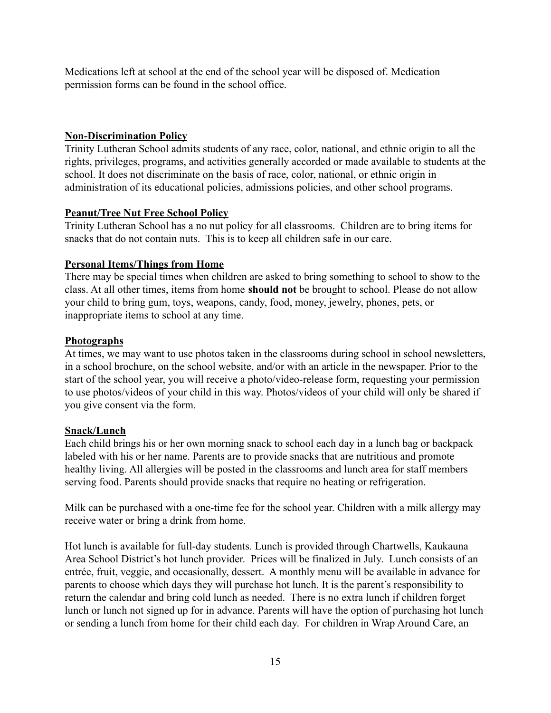Medications left at school at the end of the school year will be disposed of. Medication permission forms can be found in the school office.

## **Non-Discrimination Policy**

Trinity Lutheran School admits students of any race, color, national, and ethnic origin to all the rights, privileges, programs, and activities generally accorded or made available to students at the school. It does not discriminate on the basis of race, color, national, or ethnic origin in administration of its educational policies, admissions policies, and other school programs.

#### **Peanut/Tree Nut Free School Policy**

Trinity Lutheran School has a no nut policy for all classrooms. Children are to bring items for snacks that do not contain nuts. This is to keep all children safe in our care.

#### **Personal Items/Things from Home**

There may be special times when children are asked to bring something to school to show to the class. At all other times, items from home **should not** be brought to school. Please do not allow your child to bring gum, toys, weapons, candy, food, money, jewelry, phones, pets, or inappropriate items to school at any time.

#### **Photographs**

At times, we may want to use photos taken in the classrooms during school in school newsletters, in a school brochure, on the school website, and/or with an article in the newspaper. Prior to the start of the school year, you will receive a photo/video-release form, requesting your permission to use photos/videos of your child in this way. Photos/videos of your child will only be shared if you give consent via the form.

#### **Snack/Lunch**

Each child brings his or her own morning snack to school each day in a lunch bag or backpack labeled with his or her name. Parents are to provide snacks that are nutritious and promote healthy living. All allergies will be posted in the classrooms and lunch area for staff members serving food. Parents should provide snacks that require no heating or refrigeration.

Milk can be purchased with a one-time fee for the school year. Children with a milk allergy may receive water or bring a drink from home.

Hot lunch is available for full-day students. Lunch is provided through Chartwells, Kaukauna Area School District's hot lunch provider. Prices will be finalized in July. Lunch consists of an entrée, fruit, veggie, and occasionally, dessert. A monthly menu will be available in advance for parents to choose which days they will purchase hot lunch. It is the parent's responsibility to return the calendar and bring cold lunch as needed. There is no extra lunch if children forget lunch or lunch not signed up for in advance. Parents will have the option of purchasing hot lunch or sending a lunch from home for their child each day. For children in Wrap Around Care, an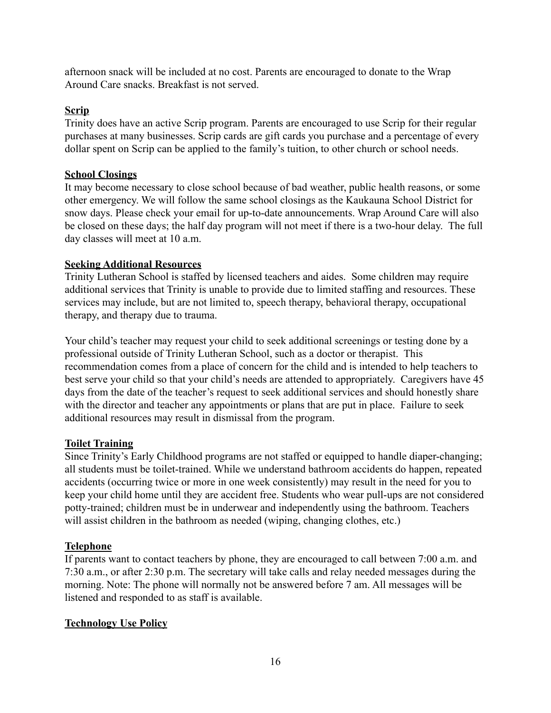afternoon snack will be included at no cost. Parents are encouraged to donate to the Wrap Around Care snacks. Breakfast is not served.

# **Scrip**

Trinity does have an active Scrip program. Parents are encouraged to use Scrip for their regular purchases at many businesses. Scrip cards are gift cards you purchase and a percentage of every dollar spent on Scrip can be applied to the family's tuition, to other church or school needs.

#### **School Closings**

It may become necessary to close school because of bad weather, public health reasons, or some other emergency. We will follow the same school closings as the Kaukauna School District for snow days. Please check your email for up-to-date announcements. Wrap Around Care will also be closed on these days; the half day program will not meet if there is a two-hour delay. The full day classes will meet at 10 a.m.

# **Seeking Additional Resources**

Trinity Lutheran School is staffed by licensed teachers and aides. Some children may require additional services that Trinity is unable to provide due to limited staffing and resources. These services may include, but are not limited to, speech therapy, behavioral therapy, occupational therapy, and therapy due to trauma.

Your child's teacher may request your child to seek additional screenings or testing done by a professional outside of Trinity Lutheran School, such as a doctor or therapist. This recommendation comes from a place of concern for the child and is intended to help teachers to best serve your child so that your child's needs are attended to appropriately. Caregivers have 45 days from the date of the teacher's request to seek additional services and should honestly share with the director and teacher any appointments or plans that are put in place. Failure to seek additional resources may result in dismissal from the program.

# **Toilet Training**

Since Trinity's Early Childhood programs are not staffed or equipped to handle diaper-changing; all students must be toilet-trained. While we understand bathroom accidents do happen, repeated accidents (occurring twice or more in one week consistently) may result in the need for you to keep your child home until they are accident free. Students who wear pull-ups are not considered potty-trained; children must be in underwear and independently using the bathroom. Teachers will assist children in the bathroom as needed (wiping, changing clothes, etc.)

# **Telephone**

If parents want to contact teachers by phone, they are encouraged to call between 7:00 a.m. and 7:30 a.m., or after 2:30 p.m. The secretary will take calls and relay needed messages during the morning. Note: The phone will normally not be answered before 7 am. All messages will be listened and responded to as staff is available.

# **Technology Use Policy**